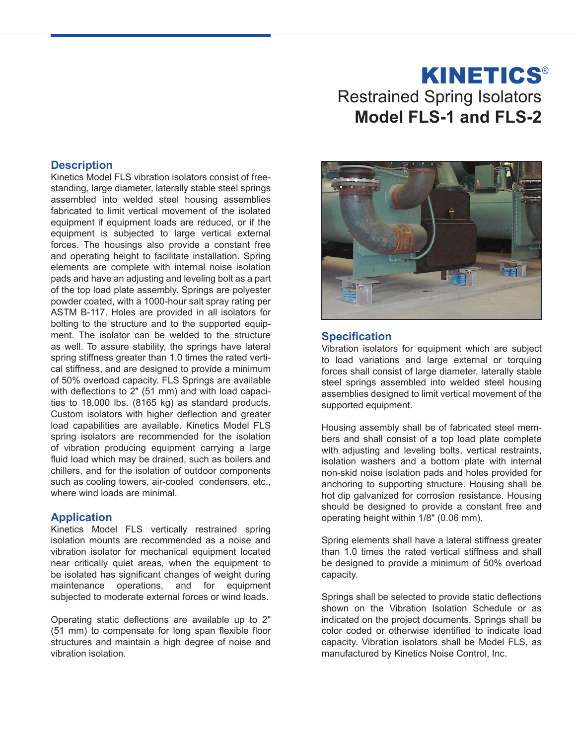# Restrained Spring Isolators **Model FLS-1 and FLS-2 KINETICS®**

## **Description**

Kinetics Model FLS vibration isolators consist of freestanding, large diameter, laterally stable steel springs assembled into welded steel housing assemblies fabricated to limit vertical movement of the isolated equipment if equipment loads are reduced, or if the equipment is subjected to large vertical external forces. The housings also provide a constant free and operating height to facilitate installation. Spring elements are complete with internal noise isolation pads and have an adjusting and leveling bolt as a part of the top load plate assembly. Springs are polyester powder coated, with a 1000-hour salt spray rating per ASTM B-117. Holes are provided in all isolators for bolting to the structure and to the supported equipment. The isolator can be welded to the structure as well. To assure stability, the springs have lateral spring stiffness greater than 1.0 times the rated vertical stiffness, and are designed to provide a minimum of 50% overload capacity. FLS Springs are available with deflections to 2" (51 mm) and with load capacities to 18,000 lbs. (8165 kg) as standard products. Custom isolators with higher deflection and greater load capabilities are available. Kinetics Model FLS spring isolators are recommended for the isolation of vibration producing equipment carrying a large fluid load which may be drained, such as boilers and chillers, and for the isolation of outdoor components such as cooling towers, air-cooled condensers, etc., where wind loads are minimal.

### **Application**

Kinetics Model FLS vertically restrained spring isolation mounts are recommended as a noise and vibration isolator for mechanical equipment located near critically quiet areas, when the equipment to be isolated has significant changes of weight during maintenance operations, and for equipment subjected to moderate external forces or wind loads.

Operating static deflections are available up to 2" (51 mm) to compensate for long span flexible floor structures and maintain a high degree of noise and vibration isolation.



### **Specification**

Vibration isolators for equipment which are subject to load variations and large external or torquing forces shall consist of large diameter, laterally stable steel springs assembled into welded steel housing assemblies designed to limit vertical movement of the supported equipment.

Housing assembly shall be of fabricated steel members and shall consist of a top load plate complete with adjusting and leveling bolts, vertical restraints, isolation washers and a bottom plate with internal non-skid noise isolation pads and holes provided for anchoring to supporting structure. Housing shall be hot dip galvanized for corrosion resistance. Housing should be designed to provide a constant free and operating height within 1/8" (0.06 mm).

Spring elements shall have a lateral stiffness greater than 1.0 times the rated vertical stiffness and shall be designed to provide a minimum of 50% overload capacity.

Springs shall be selected to provide static deflections shown on the Vibration Isolation Schedule or as indicated on the project documents. Springs shall be color coded or otherwise identified to indicate load capacity. Vibration isolators shall be Model FLS, as manufactured by Kinetics Noise Control, Inc.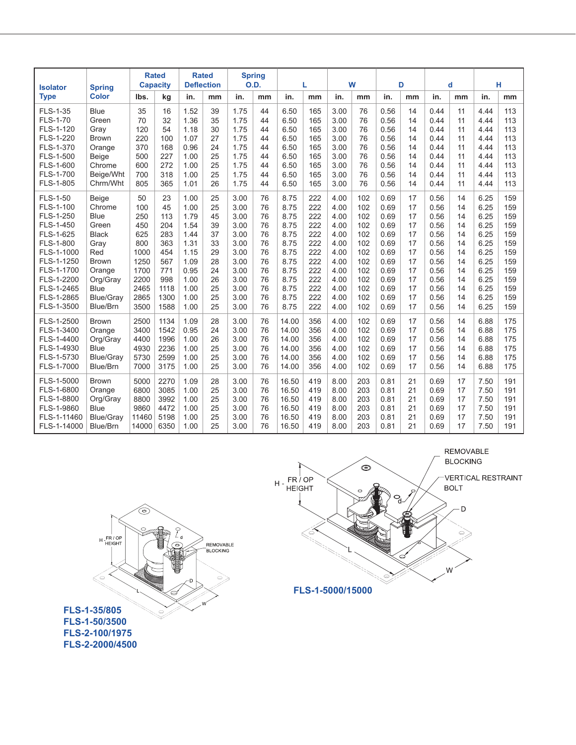| <b>Isolator</b>             | <b>Spring</b>            | <b>Rated</b><br><b>Capacity</b> |              | <b>Rated</b><br><b>Deflection</b> |          | <b>Spring</b><br><b>O.D.</b> |          | L              |            | W            |            | D            |          | d            |          | н            |            |
|-----------------------------|--------------------------|---------------------------------|--------------|-----------------------------------|----------|------------------------------|----------|----------------|------------|--------------|------------|--------------|----------|--------------|----------|--------------|------------|
| <b>Type</b>                 | <b>Color</b>             | Ibs.                            | kg           | in.                               | mm       | in.                          | mm       | in.            | mm         | in.          | mm         | in.          | mm       | in.          | mm       | in.          | mm         |
| FLS-1-35<br><b>FLS-1-70</b> | <b>Blue</b><br>Green     | 35<br>70                        | 16<br>32     | 1.52<br>1.36                      | 39<br>35 | 1.75<br>1.75                 | 44<br>44 | 6.50<br>6.50   | 165<br>165 | 3.00<br>3.00 | 76<br>76   | 0.56<br>0.56 | 14<br>14 | 0.44<br>0.44 | 11<br>11 | 4.44<br>4.44 | 113<br>113 |
| FLS-1-120                   | Gray                     | 120                             | 54           | 1.18                              | 30       | 1.75                         | 44       | 6.50           | 165        | 3.00         | 76         | 0.56         | 14       | 0.44         | 11       | 4.44         | 113        |
| FLS-1-220<br>FLS-1-370      | <b>Brown</b><br>Orange   | 220<br>370                      | 100<br>168   | 1.07<br>0.96                      | 27<br>24 | 1.75<br>1.75                 | 44<br>44 | 6.50<br>6.50   | 165<br>165 | 3.00<br>3.00 | 76<br>76   | 0.56<br>0.56 | 14<br>14 | 0.44<br>0.44 | 11<br>11 | 4.44<br>4.44 | 113<br>113 |
| FLS-1-500                   | Beige                    | 500                             | 227          | 1.00                              | 25       | 1.75                         | 44       | 6.50           | 165        | 3.00         | 76         | 0.56         | 14       | 0.44         | 11       | 4.44         | 113        |
| FLS-1-600                   | Chrome                   | 600                             | 272          | 1.00                              | 25       | 1.75                         | 44       | 6.50           | 165        | 3.00         | 76         | 0.56         | 14       | 0.44         | 11       | 4.44         | 113        |
| FLS-1-700                   | Beige/Wht                | 700                             | 318          | 1.00                              | 25       | 1.75                         | 44       | 6.50           | 165        | 3.00         | 76         | 0.56         | 14       | 0.44         | 11       | 4.44         | 113        |
| FLS-1-805                   | Chrm/Wht                 | 805                             | 365          | 1.01                              | 26       | 1.75                         | 44       | 6.50           | 165        | 3.00         | 76         | 0.56         | 14       | 0.44         | 11       | 4.44         | 113        |
| <b>FLS-1-50</b>             | Beige                    | 50                              | 23           | 1.00                              | 25       | 3.00                         | 76       | 8.75           | 222        | 4.00         | 102        | 0.69         | 17       | 0.56         | 14       | 6.25         | 159        |
| FLS-1-100                   | Chrome                   | 100                             | 45           | 1.00                              | 25       | 3.00                         | 76       | 8.75           | 222        | 4.00         | 102        | 0.69         | 17       | 0.56         | 14       | 6.25         | 159        |
| FLS-1-250<br>FLS-1-450      | <b>Blue</b><br>Green     | 250<br>450                      | 113<br>204   | 1.79<br>1.54                      | 45<br>39 | 3.00<br>3.00                 | 76<br>76 | 8.75<br>8.75   | 222<br>222 | 4.00<br>4.00 | 102<br>102 | 0.69<br>0.69 | 17<br>17 | 0.56<br>0.56 | 14<br>14 | 6.25<br>6.25 | 159<br>159 |
| FLS-1-625                   | <b>Black</b>             | 625                             | 283          | 1.44                              | 37       | 3.00                         | 76       | 8.75           | 222        | 4.00         | 102        | 0.69         | 17       | 0.56         | 14       | 6.25         | 159        |
| FLS-1-800                   | Gray                     | 800                             | 363          | 1.31                              | 33       | 3.00                         | 76       | 8.75           | 222        | 4.00         | 102        | 0.69         | 17       | 0.56         | 14       | 6.25         | 159        |
| FLS-1-1000                  | Red                      | 1000                            | 454          | 1.15                              | 29       | 3.00                         | 76       | 8.75           | 222        | 4.00         | 102        | 0.69         | 17       | 0.56         | 14       | 6.25         | 159        |
| FLS-1-1250                  | <b>Brown</b>             | 1250                            | 567          | 1.09                              | 28       | 3.00                         | 76       | 8.75           | 222        | 4.00         | 102        | 0.69         | 17       | 0.56         | 14       | 6.25         | 159        |
| FLS-1-1700                  | Orange                   | 1700                            | 771          | 0.95                              | 24       | 3.00                         | 76       | 8.75           | 222        | 4.00         | 102        | 0.69         | 17       | 0.56         | 14       | 6.25         | 159        |
| FLS-1-2200<br>FLS-1-2465    | Org/Gray                 | 2200                            | 998<br>1118  | 1.00<br>1.00                      | 26<br>25 | 3.00                         | 76<br>76 | 8.75<br>8.75   | 222<br>222 | 4.00         | 102<br>102 | 0.69<br>0.69 | 17<br>17 | 0.56         | 14<br>14 | 6.25<br>6.25 | 159<br>159 |
| FLS-1-2865                  | Blue<br><b>Blue/Gray</b> | 2465<br>2865                    | 1300         | 1.00                              | 25       | 3.00<br>3.00                 | 76       | 8.75           | 222        | 4.00<br>4.00 | 102        | 0.69         | 17       | 0.56<br>0.56 | 14       | 6.25         | 159        |
| FLS-1-3500                  | Blue/Brn                 | 3500                            | 1588         | 1.00                              | 25       | 3.00                         | 76       | 8.75           | 222        | 4.00         | 102        | 0.69         | 17       | 0.56         | 14       | 6.25         | 159        |
| FLS-1-2500                  | <b>Brown</b>             | 2500                            | 1134         | 1.09                              | 28       | 3.00                         | 76       | 14.00          | 356        | 4.00         | 102        | 0.69         | 17       | 0.56         | 14       | 6.88         | 175        |
| FLS-1-3400                  | Orange                   | 3400                            | 1542         | 0.95                              | 24       | 3.00                         | 76       | 14.00          | 356        | 4.00         | 102        | 0.69         | 17       | 0.56         | 14       | 6.88         | 175        |
| FLS-1-4400                  | Org/Gray                 | 4400                            | 1996         | 1.00                              | 26       | 3.00                         | 76       | 14.00          | 356        | 4.00         | 102        | 0.69         | 17       | 0.56         | 14       | 6.88         | 175        |
| FLS-1-4930                  | <b>Blue</b>              | 4930                            | 2236         | 1.00                              | 25       | 3.00                         | 76       | 14.00          | 356        | 4.00         | 102        | 0.69         | 17       | 0.56         | 14       | 6.88         | 175        |
| FLS-1-5730                  | <b>Blue/Gray</b>         | 5730                            | 2599         | 1.00                              | 25       | 3.00                         | 76       | 14.00          | 356        | 4.00         | 102        | 0.69         | 17       | 0.56         | 14       | 6.88         | 175        |
| FLS-1-7000                  | Blue/Brn                 | 7000                            | 3175         | 1.00                              | 25       | 3.00                         | 76       | 14.00          | 356        | 4.00         | 102        | 0.69         | 17       | 0.56         | 14       | 6.88         | 175        |
| FLS-1-5000                  | <b>Brown</b>             | 5000                            | 2270         | 1.09                              | 28       | 3.00                         | 76       | 16.50          | 419        | 8.00         | 203        | 0.81         | 21       | 0.69         | 17       | 7.50         | 191        |
| FLS-1-6800                  | Orange                   | 6800                            | 3085         | 1.00                              | 25       | 3.00                         | 76       | 16.50          | 419        | 8.00         | 203        | 0.81         | 21       | 0.69         | 17       | 7.50         | 191        |
| FLS-1-8800                  | Org/Gray                 | 8800<br>9860                    | 3992<br>4472 | 1.00<br>1.00                      | 25<br>25 | 3.00                         | 76<br>76 | 16.50<br>16.50 | 419<br>419 | 8.00<br>8.00 | 203<br>203 | 0.81<br>0.81 | 21<br>21 | 0.69         | 17       | 7.50<br>7.50 | 191<br>191 |
| FLS-1-9860<br>FLS-1-11460   | <b>Blue</b><br>Blue/Gray | 11460                           | 5198         | 1.00                              | 25       | 3.00<br>3.00                 | 76       | 16.50          | 419        | 8.00         | 203        | 0.81         | 21       | 0.69<br>0.69 | 17<br>17 | 7.50         | 191        |
| FLS-1-14000                 | Blue/Brn                 | 14000                           | 6350         | 1.00                              | 25       | 3.00                         | 76       | 16.50          | 419        | 8.00         | 203        | 0.81         | 21       | 0.69         | 17       | 7.50         | 191        |



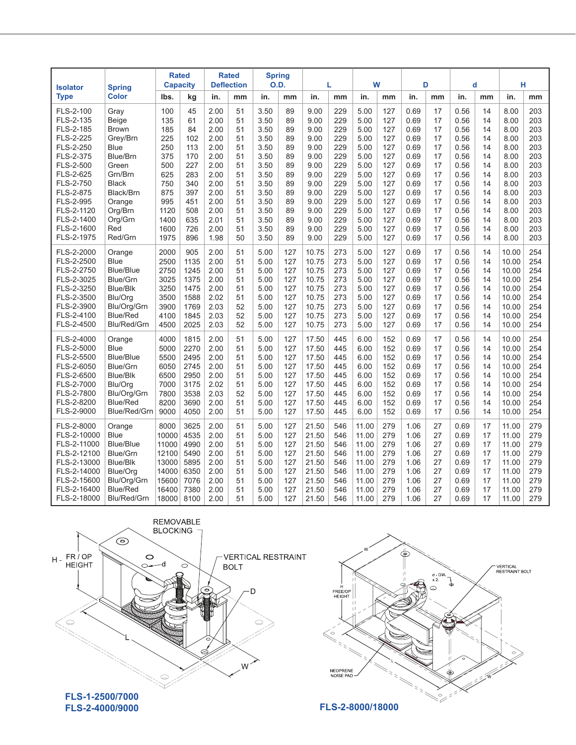| <b>Isolator</b>        | <b>Spring</b>    | <b>Rated</b><br><b>Capacity</b> |      | <b>Rated</b><br><b>Deflection</b> |    | <b>Spring</b><br><b>O.D.</b> |     | L     |     | W     |     | D    |          | d    |    | н     |            |
|------------------------|------------------|---------------------------------|------|-----------------------------------|----|------------------------------|-----|-------|-----|-------|-----|------|----------|------|----|-------|------------|
| <b>Type</b>            | <b>Color</b>     | lbs.                            | kg   | in.                               | mm | in.                          | mm  | in.   | mm  | in.   | mm  | in.  | mm       | in.  | mm | in.   | mm         |
| FLS-2-100              | Gray             | 100                             | 45   | 2.00                              | 51 | 3.50                         | 89  | 9.00  | 229 | 5.00  | 127 | 0.69 | 17       | 0.56 | 14 | 8.00  | 203        |
| FLS-2-135              | Beige            | 135                             | 61   | 2.00                              | 51 | 3.50                         | 89  | 9.00  | 229 | 5.00  | 127 | 0.69 | 17       | 0.56 | 14 | 8.00  | 203        |
| FLS-2-185              | <b>Brown</b>     | 185                             | 84   | 2.00                              | 51 | 3.50                         | 89  | 9.00  | 229 | 5.00  | 127 | 0.69 | 17       | 0.56 | 14 | 8.00  | 203<br>203 |
| FLS-2-225<br>FLS-2-250 | Grey/Brn<br>Blue | 225                             | 102  | 2.00                              | 51 | 3.50                         | 89  | 9.00  | 229 | 5.00  | 127 | 0.69 | 17       | 0.56 | 14 | 8.00  |            |
|                        |                  | 250                             | 113  | 2.00                              | 51 | 3.50                         | 89  | 9.00  | 229 | 5.00  | 127 | 0.69 | 17       | 0.56 | 14 | 8.00  | 203        |
| FLS-2-375              | Blue/Brn         | 375                             | 170  | 2.00                              | 51 | 3.50                         | 89  | 9.00  | 229 | 5.00  | 127 | 0.69 | 17<br>17 | 0.56 | 14 | 8.00  | 203        |
| FLS-2-500              | Green            | 500                             | 227  | 2.00                              | 51 | 3.50                         | 89  | 9.00  | 229 | 5.00  | 127 | 0.69 |          | 0.56 | 14 | 8.00  | 203        |
| FLS-2-625              | Grn/Brn          | 625                             | 283  | 2.00                              | 51 | 3.50                         | 89  | 9.00  | 229 | 5.00  | 127 | 0.69 | 17       | 0.56 | 14 | 8.00  | 203        |
| FLS-2-750              | <b>Black</b>     | 750                             | 340  | 2.00                              | 51 | 3.50                         | 89  | 9.00  | 229 | 5.00  | 127 | 0.69 | 17       | 0.56 | 14 | 8.00  | 203        |
| FLS-2-875              | Black/Brn        | 875                             | 397  | 2.00                              | 51 | 3.50                         | 89  | 9.00  | 229 | 5.00  | 127 | 0.69 | 17       | 0.56 | 14 | 8.00  | 203        |
| FLS-2-995              | Orange           | 995                             | 451  | 2.00                              | 51 | 3.50                         | 89  | 9.00  | 229 | 5.00  | 127 | 0.69 | 17       | 0.56 | 14 | 8.00  | 203        |
| FLS-2-1120             | Org/Brn          | 1120                            | 508  | 2.00                              | 51 | 3.50                         | 89  | 9.00  | 229 | 5.00  | 127 | 0.69 | 17       | 0.56 | 14 | 8.00  | 203        |
| FLS-2-1400             | Org/Grn          | 1400                            | 635  | 2.01                              | 51 | 3.50                         | 89  | 9.00  | 229 | 5.00  | 127 | 0.69 | 17       | 0.56 | 14 | 8.00  | 203        |
| FLS-2-1600             | Red              | 1600                            | 726  | 2.00                              | 51 | 3.50                         | 89  | 9.00  | 229 | 5.00  | 127 | 0.69 | 17       | 0.56 | 14 | 8.00  | 203        |
| FLS-2-1975             | Red/Grn          | 1975                            | 896  | 1.98                              | 50 | 3.50                         | 89  | 9.00  | 229 | 5.00  | 127 | 0.69 | 17       | 0.56 | 14 | 8.00  | 203        |
| FLS-2-2000             | Orange           | 2000                            | 905  | 2.00                              | 51 | 5.00                         | 127 | 10.75 | 273 | 5.00  | 127 | 0.69 | 17       | 0.56 | 14 | 10.00 | 254        |
| FLS-2-2500             | Blue             | 2500                            | 1135 | 2.00                              | 51 | 5.00                         | 127 | 10.75 | 273 | 5.00  | 127 | 0.69 | 17       | 0.56 | 14 | 10.00 | 254        |
| FLS-2-2750             | Blue/Blue        | 2750                            | 1245 | 2.00                              | 51 | 5.00                         | 127 | 10.75 | 273 | 5.00  | 127 | 0.69 | 17       | 0.56 | 14 | 10.00 | 254        |
| FLS-2-3025             | Blue/Grn         | 3025                            | 1375 | 2.00                              | 51 | 5.00                         | 127 | 10.75 | 273 | 5.00  | 127 | 0.69 | 17       | 0.56 | 14 | 10.00 | 254        |
| FLS-2-3250             | Blue/Blk         | 3250                            | 1475 | 2.00                              | 51 | 5.00                         | 127 | 10.75 | 273 | 5.00  | 127 | 0.69 | 17       | 0.56 | 14 | 10.00 | 254        |
| FLS-2-3500             | Blu/Ora          | 3500                            | 1588 | 2.02                              | 51 | 5.00                         | 127 | 10.75 | 273 | 5.00  | 127 | 0.69 | 17       | 0.56 | 14 | 10.00 | 254        |
| FLS-2-3900             | Blu/Org/Grn      | 3900                            | 1769 | 2.03                              | 52 | 5.00                         | 127 | 10.75 | 273 | 5.00  | 127 | 0.69 | 17       | 0.56 | 14 | 10.00 | 254        |
| FLS-2-4100             | Blue/Red         | 4100                            | 1845 | 2.03                              | 52 | 5.00                         | 127 | 10.75 | 273 | 5.00  | 127 | 0.69 | 17       | 0.56 | 14 | 10.00 | 254        |
| FLS-2-4500             | Blu/Red/Grn      | 4500                            | 2025 | 2.03                              | 52 | 5.00                         | 127 | 10.75 | 273 | 5.00  | 127 | 0.69 | 17       | 0.56 | 14 | 10.00 | 254        |
| FLS-2-4000             | Orange           | 4000                            | 1815 | 2.00                              | 51 | 5.00                         | 127 | 17.50 | 445 | 6.00  | 152 | 0.69 | 17       | 0.56 | 14 | 10.00 | 254        |
| FLS-2-5000             | Blue             | 5000                            | 2270 | 2.00                              | 51 | 5.00                         | 127 | 17.50 | 445 | 6.00  | 152 | 0.69 | 17       | 0.56 | 14 | 10.00 | 254        |
| FLS-2-5500             | Blue/Blue        | 5500                            | 2495 | 2.00                              | 51 | 5.00                         | 127 | 17.50 | 445 | 6.00  | 152 | 0.69 | 17       | 0.56 | 14 | 10.00 | 254        |
| FLS-2-6050             | Blue/Grn         | 6050                            | 2745 | 2.00                              | 51 | 5.00                         | 127 | 17.50 | 445 | 6.00  | 152 | 0.69 | 17       | 0.56 | 14 | 10.00 | 254        |
| FLS-2-6500             | <b>Blue/Blk</b>  | 6500                            | 2950 | 2.00                              | 51 | 5.00                         | 127 | 17.50 | 445 | 6.00  | 152 | 0.69 | 17       | 0.56 | 14 | 10.00 | 254        |
| FLS-2-7000             | Blu/Org          | 7000                            | 3175 | 2.02                              | 51 | 5.00                         | 127 | 17.50 | 445 | 6.00  | 152 | 0.69 | 17       | 0.56 | 14 | 10.00 | 254        |
| FLS-2-7800             | Blu/Org/Grn      | 7800                            | 3538 | 2.03                              | 52 | 5.00                         | 127 | 17.50 | 445 | 6.00  | 152 | 0.69 | 17       | 0.56 | 14 | 10.00 | 254        |
| FLS-2-8200             | <b>Blue/Red</b>  | 8200                            | 3690 | 2.00                              | 51 | 5.00                         | 127 | 17.50 | 445 | 6.00  | 152 | 0.69 | 17       | 0.56 | 14 | 10.00 | 254        |
| FLS-2-9000             | Blue/Red/Grn     | 9000                            | 4050 | 2.00                              | 51 | 5.00                         | 127 | 17.50 | 445 | 6.00  | 152 | 0.69 | 17       | 0.56 | 14 | 10.00 | 254        |
| FLS-2-8000             | Orange           | 8000                            | 3625 | 2.00                              | 51 | 5.00                         | 127 | 21.50 | 546 | 11.00 | 279 | 1.06 | 27       | 0.69 | 17 | 11.00 | 279        |
| FLS-2-10000            | <b>Blue</b>      | 10000                           | 4535 | 2.00                              | 51 | 5.00                         | 127 | 21.50 | 546 | 11.00 | 279 | 1.06 | 27       | 0.69 | 17 | 11.00 | 279        |
| FLS-2-11000            | Blue/Blue        | 11000                           | 4990 | 2.00                              | 51 | 5.00                         | 127 | 21.50 | 546 | 11.00 | 279 | 1.06 | 27       | 0.69 | 17 | 11.00 | 279        |
| FLS-2-12100            | Blue/Grn         | 12100                           | 5490 | 2.00                              | 51 | 5.00                         | 127 | 21.50 | 546 | 11.00 | 279 | 1.06 | 27       | 0.69 | 17 | 11.00 | 279        |
| FLS-2-13000            | Blue/Blk         | 13000                           | 5895 | 2.00                              | 51 | 5.00                         | 127 | 21.50 | 546 | 11.00 | 279 | 1.06 | 27       | 0.69 | 17 | 11.00 | 279        |
| FLS-2-14000            | Blue/Ora         | 14000                           | 6350 | 2.00                              | 51 | 5.00                         | 127 | 21.50 | 546 | 11.00 | 279 | 1.06 | 27       | 0.69 | 17 | 11.00 | 279        |
| FLS-2-15600            | Blu/Org/Grn      | 15600                           | 7076 | 2.00                              | 51 | 5.00                         | 127 | 21.50 | 546 | 11.00 | 279 | 1.06 | 27       | 0.69 | 17 | 11.00 | 279        |
| FLS-2-16400            | <b>Blue/Red</b>  | 16400                           | 7380 | 2.00                              | 51 | 5.00                         | 127 | 21.50 | 546 | 11.00 | 279 | 1.06 | 27       | 0.69 | 17 | 11.00 | 279        |
| FLS-2-18000            | Blu/Red/Grn      | 18000                           | 8100 | 2.00                              | 51 | 5.00                         | 127 | 21.50 | 546 | 11.00 | 279 | 1.06 | 27       | 0.69 | 17 | 11.00 | 279        |



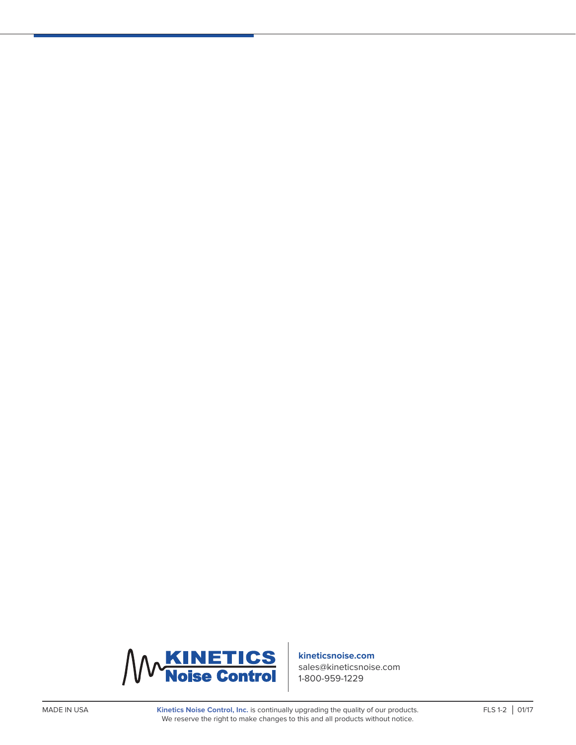

#### **kineticsnoise.com**

sales@kineticsnoise.com 1-800-959-1229

Kinetics Noise Control, Inc. is continually upgrading the quality of our products. FLS 1-2 | 01/17 We reserve the right to make changes to this and all products without notice.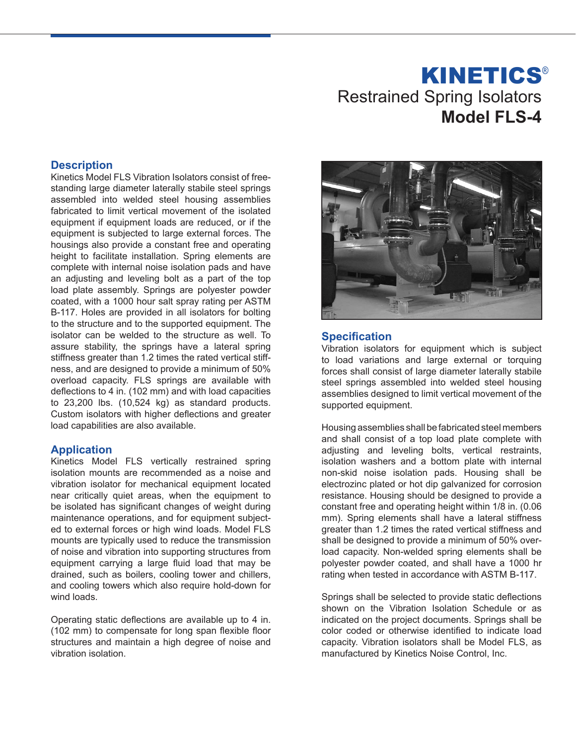# Restrained Spring Isolators **Model FLS-4 KINETICS®**

## **Description**

Kinetics Model FLS Vibration Isolators consist of freestanding large diameter laterally stabile steel springs assembled into welded steel housing assemblies fabricated to limit vertical movement of the isolated equipment if equipment loads are reduced, or if the equipment is subjected to large external forces. The housings also provide a constant free and operating height to facilitate installation. Spring elements are complete with internal noise isolation pads and have an adjusting and leveling bolt as a part of the top load plate assembly. Springs are polyester powder coated, with a 1000 hour salt spray rating per ASTM B-117. Holes are provided in all isolators for bolting to the structure and to the supported equipment. The isolator can be welded to the structure as well. To assure stability, the springs have a lateral spring stiffness greater than 1.2 times the rated vertical stiffness, and are designed to provide a minimum of 50% overload capacity. FLS springs are available with deflections to 4 in. (102 mm) and with load capacities to 23,200 lbs. (10,524 kg) as standard products. Custom isolators with higher deflections and greater load capabilities are also available.

### **Application**

Kinetics Model FLS vertically restrained spring isolation mounts are recommended as a noise and vibration isolator for mechanical equipment located near critically quiet areas, when the equipment to be isolated has significant changes of weight during maintenance operations, and for equipment subjected to external forces or high wind loads. Model FLS mounts are typically used to reduce the transmission of noise and vibration into supporting structures from equipment carrying a large fluid load that may be drained, such as boilers, cooling tower and chillers, and cooling towers which also require hold-down for wind loads.

Operating static deflections are available up to 4 in. (102 mm) to compensate for long span flexible floor structures and maintain a high degree of noise and vibration isolation.



### **Specification**

Vibration isolators for equipment which is subject to load variations and large external or torquing forces shall consist of large diameter laterally stabile steel springs assembled into welded steel housing assemblies designed to limit vertical movement of the supported equipment.

Housing assemblies shall be fabricated steel members and shall consist of a top load plate complete with adjusting and leveling bolts, vertical restraints, isolation washers and a bottom plate with internal non-skid noise isolation pads. Housing shall be electrozinc plated or hot dip galvanized for corrosion resistance. Housing should be designed to provide a constant free and operating height within 1/8 in. (0.06 mm). Spring elements shall have a lateral stiffness greater than 1.2 times the rated vertical stiffness and shall be designed to provide a minimum of 50% overload capacity. Non-welded spring elements shall be polyester powder coated, and shall have a 1000 hr rating when tested in accordance with ASTM B-117.

Springs shall be selected to provide static deflections shown on the Vibration Isolation Schedule or as indicated on the project documents. Springs shall be color coded or otherwise identified to indicate load capacity. Vibration isolators shall be Model FLS, as manufactured by Kinetics Noise Control, Inc.